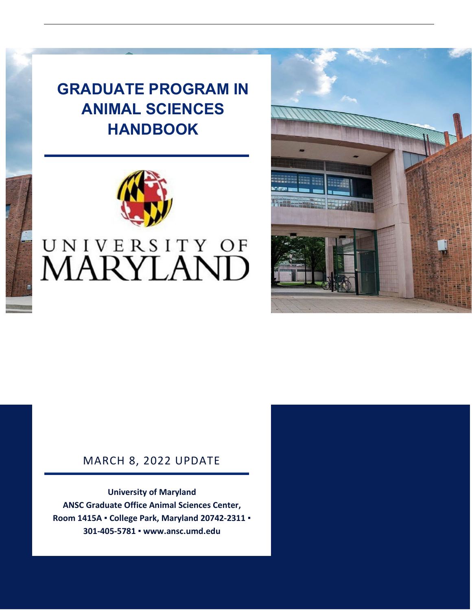## **GRADUATE PROGRAM IN ANIMAL SCIENCES HANDBOOK**



# UNIVERSITY OF<br>MARYLAND



## MARCH 8, 2022 UPDATE

**University of Maryland ANSC Graduate Office Animal Sciences Center, Room 1415A ▪ College Park, Maryland 20742-2311 ▪ 301-405-5781 ▪ www.ansc.umd.edu**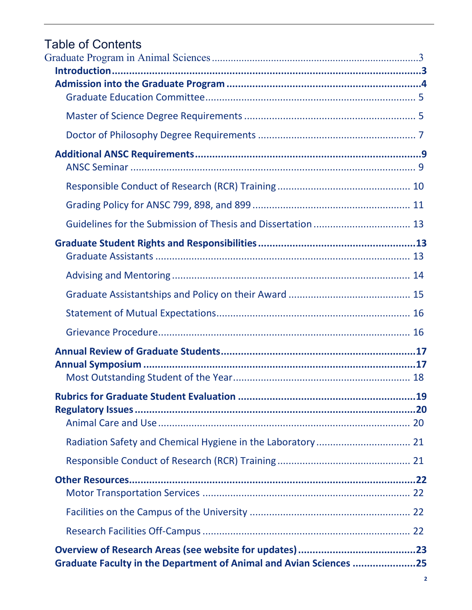# Table of Contents<br>Graduate Program in A

|                                                                    | 19 |
|--------------------------------------------------------------------|----|
|                                                                    |    |
|                                                                    |    |
|                                                                    |    |
|                                                                    |    |
|                                                                    |    |
|                                                                    |    |
|                                                                    |    |
|                                                                    |    |
| Graduate Faculty in the Department of Animal and Avian Sciences 25 |    |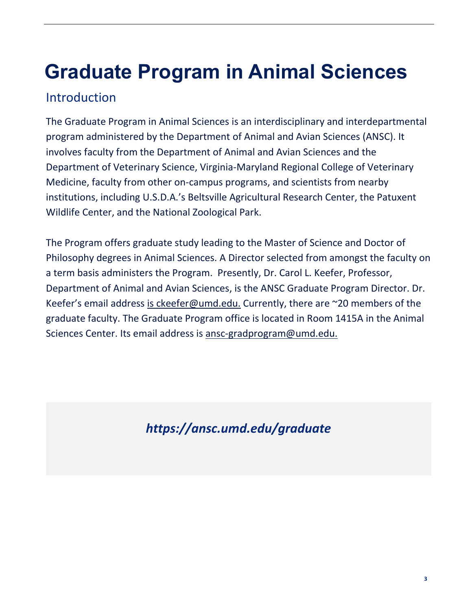# <span id="page-2-0"></span>**Graduate Program in Animal Sciences**

## <span id="page-2-1"></span>Introduction

The Graduate Program in Animal Sciences is an interdisciplinary and interdepartmental program administered by the Department of Animal and Avian Sciences (ANSC). It involves faculty from the Department of Animal and Avian Sciences and the Department of Veterinary Science, Virginia-Maryland Regional College of Veterinary Medicine, faculty from other on-campus programs, and scientists from nearby institutions, including U.S.D.A.'s Beltsville Agricultural Research Center, the Patuxent Wildlife Center, and the National Zoological Park.

The Program offers graduate study leading to the Master of Science and Doctor of Philosophy degrees in Animal Sciences. A Director selected from amongst the faculty on a term basis administers the Program. Presently, Dr. Carol L. Keefer, Professor, Department of Animal and Avian Sciences, is the ANSC Graduate Program Director. Dr. Keefer's email address [is ckeefer@umd.edu.](mailto:ckeefer@umd.edu) Currently, there are ~20 members of the graduate faculty. The Graduate Program office is located in Room 1415A in the Animal Sciences Center. Its email address is [ansc-gradprogram@umd.edu.](mailto:ansc-gradprogram@umd.edu)

*https://ansc.umd.edu/graduate*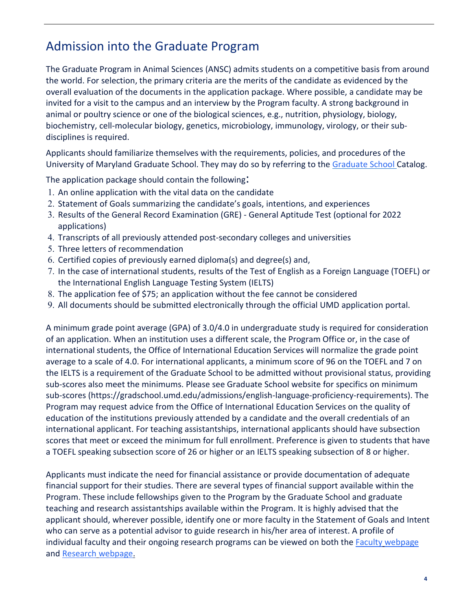## <span id="page-3-0"></span>Admission into the Graduate Program

The Graduate Program in Animal Sciences (ANSC) admits students on a competitive basis from around the world. For selection, the primary criteria are the merits of the candidate as evidenced by the overall evaluation of the documents in the application package. Where possible, a candidate may be invited for a visit to the campus and an interview by the Program faculty. A strong background in animal or poultry science or one of the biological sciences, e.g., nutrition, physiology, biology, biochemistry, cell-molecular biology, genetics, microbiology, immunology, virology, or their subdisciplines is required.

Applicants should familiarize themselves with the requirements, policies, and procedures of the University of Maryland Graduate School. They may do so by referring to the [Graduate](http://www.gradschool.umd.edu/catalog) School Catalog.

The application package should contain the following:

- 1. An online application with the vital data on the candidate
- 2. Statement of Goals summarizing the candidate's goals, intentions, and experiences
- 3. Results of the General Record Examination (GRE) General Aptitude Test (optional for 2022 applications)
- 4. Transcripts of all previously attended post-secondary colleges and universities
- 5. Three letters of recommendation
- 6. Certified copies of previously earned diploma(s) and degree(s) and,
- 7. In the case of international students, results of the Test of English as a Foreign Language (TOEFL) or the International English Language Testing System (IELTS)
- 8. The application fee of \$75; an application without the fee cannot be considered
- 9. All documents should be submitted electronically through the official UMD application portal.

A minimum grade point average (GPA) of 3.0/4.0 in undergraduate study is required for consideration of an application. When an institution uses a different scale, the Program Office or, in the case of international students, the Office of International Education Services will normalize the grade point average to a scale of 4.0. For international applicants, a minimum score of 96 on the TOEFL and 7 on the IELTS is a requirement of the Graduate School to be admitted without provisional status, providing sub-scores also meet the minimums. Please see Graduate School website for specifics on minimum sub-scores (https://gradschool.umd.edu/admissions/english-language-proficiency-requirements). The Program may request advice from the Office of International Education Services on the quality of education of the institutions previously attended by a candidate and the overall credentials of an international applicant. For teaching assistantships, international applicants should have subsection scores that meet or exceed the minimum for full enrollment. Preference is given to students that have a TOEFL speaking subsection score of 26 or higher or an IELTS speaking subsection of 8 or higher.

Applicants must indicate the need for financial assistance or provide documentation of adequate financial support for their studies. There are several types of financial support available within the Program. These include fellowships given to the Program by the Graduate School and graduate teaching and research assistantships available within the Program. It is highly advised that the applicant should, wherever possible, identify one or more faculty in the Statement of Goals and Intent who can serve as a potential advisor to guide research in his/her area of interest. A profile of individual faculty and their ongoing research programs can be viewed on both the **Faculty [webpage](https://ansc.umd.edu/people/faculty)** an[d Research](https://ansc.umd.edu/research) webpag[e.](https://ansc.umd.edu/research)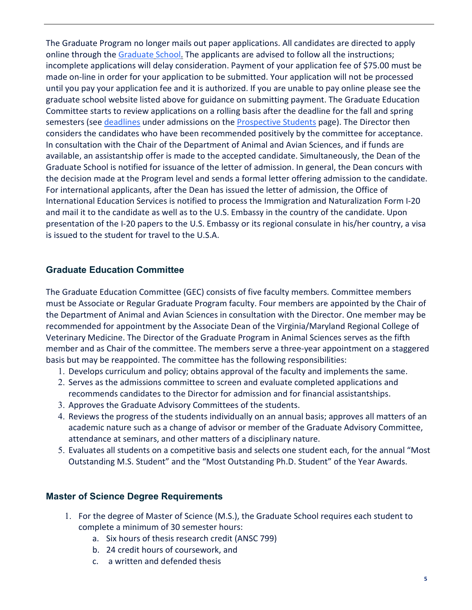The Graduate Program no longer mails out paper applications. All candidates are directed to apply online through the [Graduate](https://gradschool.umd.edu/admissions/application-process/step-step-guide-applying) Schoo[l.](https://gradschool.umd.edu/admissions/application-process/step-step-guide-applying) The applicants are advised to follow all the instructions; incomplete applications will delay consideration. Payment of your application fee of \$75.00 must be made on-line in order for your application to be submitted. Your application will not be processed until you pay your application fee and it is authorized. If you are unable to pay online please see the graduate school website listed above for guidance on submitting payment. The Graduate Education Committee starts to review applications on a rolling basis after the deadline for the fall and spring semesters (see [deadlines](https://ansc.umd.edu/graduate/prospective-students#admissions) under admissions on the **Prospective Students** page). The Director then considers the candidates who have been recommended positively by the committee for acceptance. In consultation with the Chair of the Department of Animal and Avian Sciences, and if funds are available, an assistantship offer is made to the accepted candidate. Simultaneously, the Dean of the Graduate School is notified for issuance of the letter of admission. In general, the Dean concurs with the decision made at the Program level and sends a formal letter offering admission to the candidate. For international applicants, after the Dean has issued the letter of admission, the Office of International Education Services is notified to process the Immigration and Naturalization Form I-20 and mail it to the candidate as well as to the U.S. Embassy in the country of the candidate. Upon presentation of the I-20 papers to the U.S. Embassy or its regional consulate in his/her country, a visa is issued to the student for travel to the U.S.A.

#### <span id="page-4-0"></span>**Graduate Education Committee**

The Graduate Education Committee (GEC) consists of five faculty members. Committee members must be Associate or Regular Graduate Program faculty. Four members are appointed by the Chair of the Department of Animal and Avian Sciences in consultation with the Director. One member may be recommended for appointment by the Associate Dean of the Virginia/Maryland Regional College of Veterinary Medicine. The Director of the Graduate Program in Animal Sciences serves as the fifth member and as Chair of the committee. The members serve a three-year appointment on a staggered basis but may be reappointed. The committee has the following responsibilities:

- 1. Develops curriculum and policy; obtains approval of the faculty and implements the same.
- 2. Serves as the admissions committee to screen and evaluate completed applications and recommends candidates to the Director for admission and for financial assistantships.
- 3. Approves the Graduate Advisory Committees of the students.
- 4. Reviews the progress of the students individually on an annual basis; approves all matters of an academic nature such as a change of advisor or member of the Graduate Advisory Committee, attendance at seminars, and other matters of a disciplinary nature.
- 5. Evaluates all students on a competitive basis and selects one student each, for the annual "Most Outstanding M.S. Student" and the "Most Outstanding Ph.D. Student" of the Year Awards.

#### <span id="page-4-1"></span>**Master of Science Degree Requirements**

- 1. For the degree of Master of Science (M.S.), the Graduate School requires each student to complete a minimum of 30 semester hours:
	- a. Six hours of thesis research credit (ANSC 799)
	- b. 24 credit hours of coursework, and
	- c. a written and defended thesis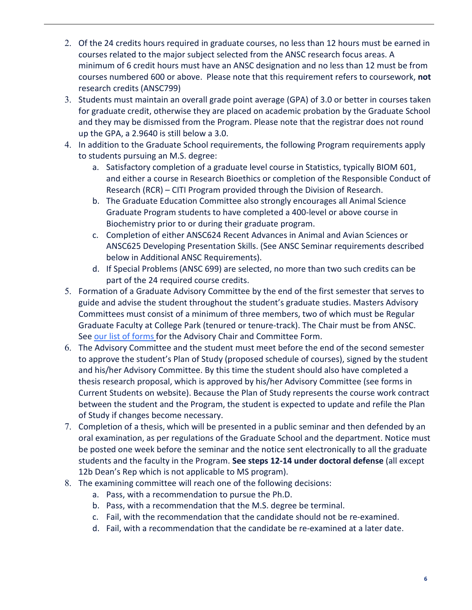- 2. Of the 24 credits hours required in graduate courses, no less than 12 hours must be earned in courses related to the major subject selected from the ANSC research focus areas. A minimum of 6 credit hours must have an ANSC designation and no less than 12 must be from courses numbered 600 or above. Please note that this requirement refers to coursework, **not** research credits (ANSC799)
- 3. Students must maintain an overall grade point average (GPA) of 3.0 or better in courses taken for graduate credit, otherwise they are placed on academic probation by the Graduate School and they may be dismissed from the Program. Please note that the registrar does not round up the GPA, a 2.9640 is still below a 3.0.
- 4. In addition to the Graduate School requirements, the following Program requirements apply to students pursuing an M.S. degree:
	- a. Satisfactory completion of a graduate level course in Statistics, typically BIOM 601, and either a course in Research Bioethics or completion of the Responsible Conduct of Research (RCR) – CITI Program provided through the Division of Research.
	- b. The Graduate Education Committee also strongly encourages all Animal Science Graduate Program students to have completed a 400-level or above course in Biochemistry prior to or during their graduate program.
	- c. Completion of either ANSC624 Recent Advances in Animal and Avian Sciences or ANSC625 Developing Presentation Skills. (See ANSC Seminar requirements described below in Additional ANSC Requirements).
	- d. If Special Problems (ANSC 699) are selected, no more than two such credits can be part of the 24 required course credits.
- 5. Formation of a Graduate Advisory Committee by the end of the first semester that serves to guide and advise the student throughout the student's graduate studies. Masters Advisory Committees must consist of a minimum of three members, two of which must be Regular Graduate Faculty at College Park (tenured or tenure-track). The Chair must be from ANSC. See our [list of forms](https://ansc.umd.edu/graduate/%20current-students#forms) for the Advisory Chair and Committee Form.
- 6. The Advisory Committee and the student must meet before the end of the second semester to approve the student's Plan of Study (proposed schedule of courses), signed by the student and his/her Advisory Committee. By this time the student should also have completed a thesis research proposal, which is approved by his/her Advisory Committee (see forms in Current Students on website). Because the Plan of Study represents the course work contract between the student and the Program, the student is expected to update and refile the Plan of Study if changes become necessary.
- 7. Completion of a thesis, which will be presented in a public seminar and then defended by an oral examination, as per regulations of the Graduate School and the department. Notice must be posted one week before the seminar and the notice sent electronically to all the graduate students and the faculty in the Program. **See steps 12-14 under doctoral defense** (all except 12b Dean's Rep which is not applicable to MS program).
- 8. The examining committee will reach one of the following decisions:
	- a. Pass, with a recommendation to pursue the Ph.D.
	- b. Pass, with a recommendation that the M.S. degree be terminal.
	- c. Fail, with the recommendation that the candidate should not be re-examined.
	- d. Fail, with a recommendation that the candidate be re-examined at a later date.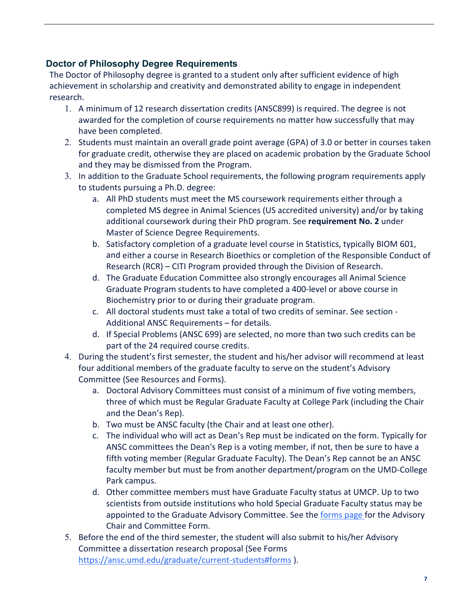## <span id="page-6-0"></span>**Doctor of Philosophy Degree Requirements**

The Doctor of Philosophy degree is granted to a student only after sufficient evidence of high achievement in scholarship and creativity and demonstrated ability to engage in independent research.

- 1. A minimum of 12 research dissertation credits (ANSC899) is required. The degree is not awarded for the completion of course requirements no matter how successfully that may have been completed.
- 2. Students must maintain an overall grade point average (GPA) of 3.0 or better in courses taken for graduate credit, otherwise they are placed on academic probation by the Graduate School and they may be dismissed from the Program.
- 3. In addition to the Graduate School requirements, the following program requirements apply to students pursuing a Ph.D. degree:
	- a. All PhD students must meet the MS coursework requirements either through a completed MS degree in Animal Sciences (US accredited university) and/or by taking additional coursework during their PhD program. See **requirement No. 2** under Master of Science Degree Requirements.
	- b. Satisfactory completion of a graduate level course in Statistics, typically BIOM 601, and either a course in Research Bioethics or completion of the Responsible Conduct of Research (RCR) – CITI Program provided through the Division of Research.
	- d. The Graduate Education Committee also strongly encourages all Animal Science Graduate Program students to have completed a 400-level or above course in Biochemistry prior to or during their graduate program.
	- c. All doctoral students must take a total of two credits of seminar. See section Additional ANSC Requirements – for details.
	- d. If Special Problems (ANSC 699) are selected, no more than two such credits can be part of the 24 required course credits.
- 4. During the student's first semester, the student and his/her advisor will recommend at least four additional members of the graduate faculty to serve on the student's Advisory Committee (See Resources and Forms).
	- a. Doctoral Advisory Committees must consist of a minimum of five voting members, three of which must be Regular Graduate Faculty at College Park (including the Chair and the Dean's Rep).
	- b. Two must be ANSC faculty (the Chair and at least one other).
	- c. The individual who will act as Dean's Rep must be indicated on the form. Typically for ANSC committees the Dean's Rep is a voting member, if not, then be sure to have a fifth voting member (Regular Graduate Faculty). The Dean's Rep cannot be an ANSC faculty member but must be from another department/program on the UMD-College Park campus.
	- d. Other committee members must have Graduate Faculty status at UMCP. Up to two scientists from outside institutions who hold Special Graduate Faculty status may be appointed to the Graduate Advisory Committee. See the [forms page f](https://ansc.umd.edu/graduate/current-students#forms)or the Advisory Chair and Committee Form.
- 5. Before the end of the third semester, the student will also submit to his/her Advisory Committee a dissertation research proposal (See Forms <https://ansc.umd.edu/graduate/current-students#forms> ).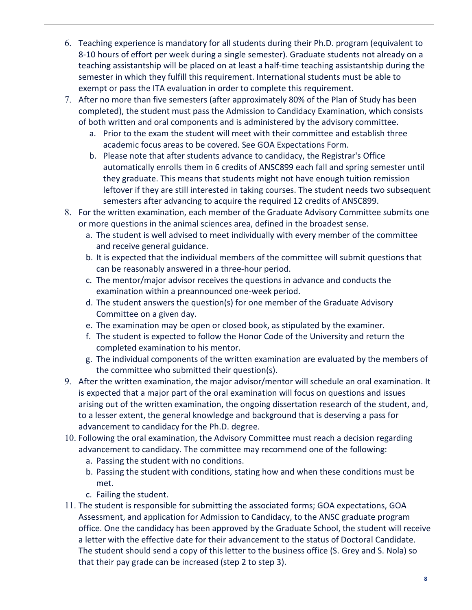- 6. Teaching experience is mandatory for all students during their Ph.D. program (equivalent to 8-10 hours of effort per week during a single semester). Graduate students not already on a teaching assistantship will be placed on at least a half-time teaching assistantship during the semester in which they fulfill this requirement. International students must be able to exempt or pass the ITA evaluation in order to complete this requirement.
- 7. After no more than five semesters (after approximately 80% of the Plan of Study has been completed), the student must pass the Admission to Candidacy Examination, which consists of both written and oral components and is administered by the advisory committee.
	- a. Prior to the exam the student will meet with their committee and establish three academic focus areas to be covered. See GOA Expectations Form.
	- b. Please note that after students advance to candidacy, the Registrar's Office automatically enrolls them in 6 credits of ANSC899 each fall and spring semester until they graduate. This means that students might not have enough tuition remission leftover if they are still interested in taking courses. The student needs two subsequent semesters after advancing to acquire the required 12 credits of ANSC899.
- 8. For the written examination, each member of the Graduate Advisory Committee submits one or more questions in the animal sciences area, defined in the broadest sense.
	- a. The student is well advised to meet individually with every member of the committee and receive general guidance.
	- b. It is expected that the individual members of the committee will submit questions that can be reasonably answered in a three-hour period.
	- c. The mentor/major advisor receives the questions in advance and conducts the examination within a preannounced one-week period.
	- d. The student answers the question(s) for one member of the Graduate Advisory Committee on a given day.
	- e. The examination may be open or closed book, as stipulated by the examiner.
	- f. The student is expected to follow the Honor Code of the University and return the completed examination to his mentor.
	- g. The individual components of the written examination are evaluated by the members of the committee who submitted their question(s).
- 9. After the written examination, the major advisor/mentor will schedule an oral examination. It is expected that a major part of the oral examination will focus on questions and issues arising out of the written examination, the ongoing dissertation research of the student, and, to a lesser extent, the general knowledge and background that is deserving a pass for advancement to candidacy for the Ph.D. degree.
- 10. Following the oral examination, the Advisory Committee must reach a decision regarding advancement to candidacy. The committee may recommend one of the following:
	- a. Passing the student with no conditions.
	- b. Passing the student with conditions, stating how and when these conditions must be met.
	- c. Failing the student.
- 11. The student is responsible for submitting the associated forms; GOA expectations, GOA Assessment, and application for Admission to Candidacy, to the ANSC graduate program office. One the candidacy has been approved by the Graduate School, the student will receive a letter with the effective date for their advancement to the status of Doctoral Candidate. The student should send a copy of this letter to the business office (S. Grey and S. Nola) so that their pay grade can be increased (step 2 to step 3).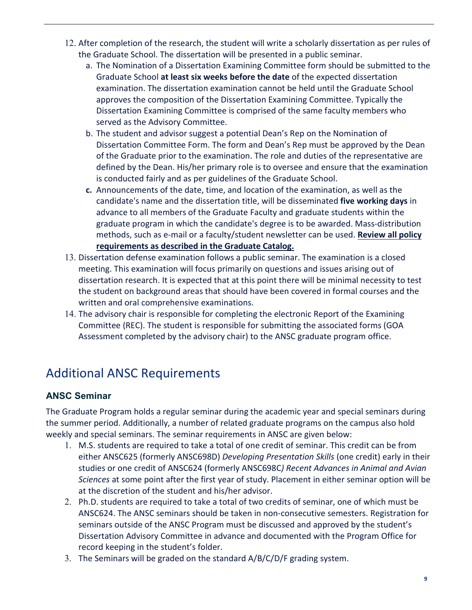- 12. After completion of the research, the student will write a scholarly dissertation as per rules of the Graduate School. The dissertation will be presented in a public seminar.
	- a. The Nomination of a Dissertation Examining Committee form should be submitted to the Graduate School **at least six weeks before the date** of the expected dissertation examination. The dissertation examination cannot be held until the Graduate School approves the composition of the Dissertation Examining Committee. Typically the Dissertation Examining Committee is comprised of the same faculty members who served as the Advisory Committee.
	- b. The student and advisor suggest a potential Dean's Rep on the Nomination of Dissertation Committee Form. The form and Dean's Rep must be approved by the Dean of the Graduate prior to the examination. The role and duties of the representative are defined by the Dean. His/her primary role is to oversee and ensure that the examination is conducted fairly and as per guidelines of the Graduate School.
	- **c.** Announcements of the date, time, and location of the examination, as well as the candidate's name and the dissertation title, will be disseminated **five working days** in advance to all members of the Graduate Faculty and graduate students within the graduate program in which the candidate's degree is to be awarded. Mass-distribution methods, such as e-mail or a faculty/student newsletter can be used. **Review all policy requirements as described in the Graduate Catalog.**
- 13. Dissertation defense examination follows a public seminar. The examination is a closed meeting. This examination will focus primarily on questions and issues arising out of dissertation research. It is expected that at this point there will be minimal necessity to test the student on background areas that should have been covered in formal courses and the written and oral comprehensive examinations.
- 14. The advisory chair is responsible for completing the electronic Report of the Examining Committee (REC). The student is responsible for submitting the associated forms (GOA Assessment completed by the advisory chair) to the ANSC graduate program office.

## <span id="page-8-0"></span>Additional ANSC Requirements

## <span id="page-8-1"></span>**ANSC Seminar**

The Graduate Program holds a regular seminar during the academic year and special seminars during the summer period. Additionally, a number of related graduate programs on the campus also hold weekly and special seminars. The seminar requirements in ANSC are given below:

- 1. M.S. students are required to take a total of one credit of seminar. This credit can be from either ANSC625 (formerly ANSC698D) *Developing Presentation Skills* (one credit) early in their studies or one credit of ANSC624 (formerly ANSC698C*) Recent Advances in Animal and Avian Sciences* at some point after the first year of study. Placement in either seminar option will be at the discretion of the student and his/her advisor.
- 2. Ph.D. students are required to take a total of two credits of seminar, one of which must be ANSC624. The ANSC seminars should be taken in non-consecutive semesters. Registration for seminars outside of the ANSC Program must be discussed and approved by the student's Dissertation Advisory Committee in advance and documented with the Program Office for record keeping in the student's folder.
- 3. The Seminars will be graded on the standard A/B/C/D/F grading system.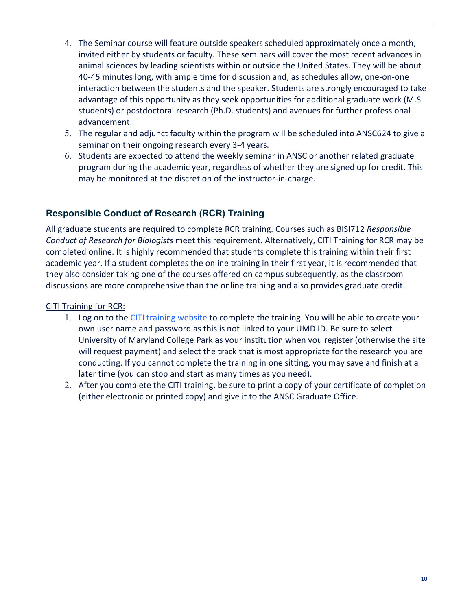- 4. The Seminar course will feature outside speakers scheduled approximately once a month, invited either by students or faculty. These seminars will cover the most recent advances in animal sciences by leading scientists within or outside the United States. They will be about 40-45 minutes long, with ample time for discussion and, as schedules allow, one-on-one interaction between the students and the speaker. Students are strongly encouraged to take advantage of this opportunity as they seek opportunities for additional graduate work (M.S. students) or postdoctoral research (Ph.D. students) and avenues for further professional advancement.
- 5. The regular and adjunct faculty within the program will be scheduled into ANSC624 to give a seminar on their ongoing research every 3-4 years.
- 6. Students are expected to attend the weekly seminar in ANSC or another related graduate program during the academic year, regardless of whether they are signed up for credit. This may be monitored at the discretion of the instructor-in-charge.

## <span id="page-9-0"></span>**Responsible Conduct of Research (RCR) Training**

All graduate students are required to complete RCR training. Courses such as BISI712 *Responsible Conduct of Research for Biologists* meet this requirement. Alternatively, CITI Training for RCR may be completed online. It is highly recommended that students complete this training within their first academic year. If a student completes the online training in their first year, it is recommended that they also consider taking one of the courses offered on campus subsequently, as the classroom discussions are more comprehensive than the online training and also provides graduate credit.

#### [CITI Training for RCR:](https://research.umd.edu/rcr)

- 1. Log on to the [CITI training website t](ttps://www.citiprogram.org/)o complete the training. You will be able to create your own user name and password as this is not linked to your UMD ID. Be sure to select University of Maryland College Park as your institution when you register (otherwise the site will request payment) and select the track that is most appropriate for the research you are conducting. If you cannot complete the training in one sitting, you may save and finish at a later time (you can stop and start as many times as you need).
- 2. After you complete the CITI training, be sure to print a copy of your certificate of completion (either electronic or printed copy) and give it to the ANSC Graduate Office.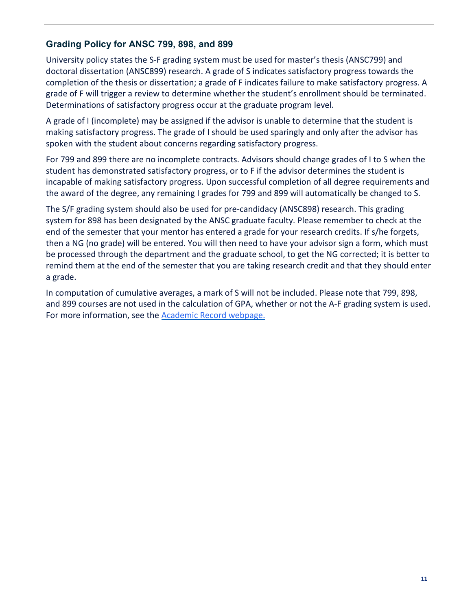## <span id="page-10-0"></span>**Grading Policy for ANSC 799, 898, and 899**

University policy states the S-F grading system must be used for master's thesis (ANSC799) and doctoral dissertation (ANSC899) research. A grade of S indicates satisfactory progress towards the completion of the thesis or dissertation; a grade of F indicates failure to make satisfactory progress. A grade of F will trigger a review to determine whether the student's enrollment should be terminated. Determinations of satisfactory progress occur at the graduate program level.

A grade of I (incomplete) may be assigned if the advisor is unable to determine that the student is making satisfactory progress. The grade of I should be used sparingly and only after the advisor has spoken with the student about concerns regarding satisfactory progress.

For 799 and 899 there are no incomplete contracts. Advisors should change grades of I to S when the student has demonstrated satisfactory progress, or to F if the advisor determines the student is incapable of making satisfactory progress. Upon successful completion of all degree requirements and the award of the degree, any remaining I grades for 799 and 899 will automatically be changed to S.

The S/F grading system should also be used for pre-candidacy (ANSC898) research. This grading system for 898 has been designated by the ANSC graduate faculty. Please remember to check at the end of the semester that your mentor has entered a grade for your research credits. If s/he forgets, then a NG (no grade) will be entered. You will then need to have your advisor sign a form, which must be processed through the department and the graduate school, to get the NG corrected; it is better to remind them at the end of the semester that you are taking research credit and that they should enter a grade.

In computation of cumulative averages, a mark of S will not be included. Please note that 799, 898, and 899 courses are not used in the calculation of GPA, whether or not the A-F grading system is used. For more information, see the [Academic Record webpage.](https://academiccatalog.umd.edu/graduate/policies/academic-record/)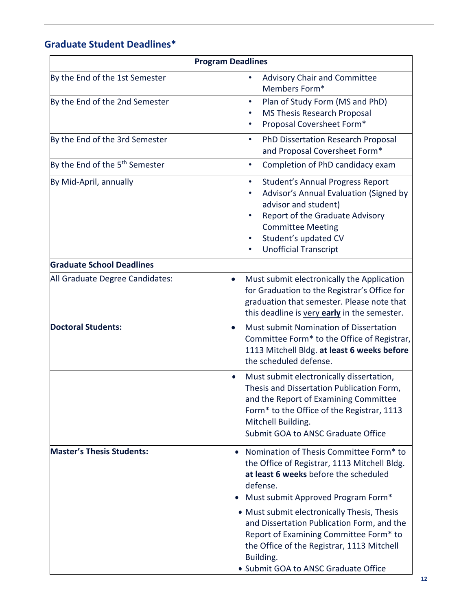## **Graduate Student Deadlines\***

| <b>Program Deadlines</b>                   |                                                                                                                                                                                                                                                                                                                                                                                      |  |
|--------------------------------------------|--------------------------------------------------------------------------------------------------------------------------------------------------------------------------------------------------------------------------------------------------------------------------------------------------------------------------------------------------------------------------------------|--|
| By the End of the 1st Semester             | <b>Advisory Chair and Committee</b><br>Members Form*                                                                                                                                                                                                                                                                                                                                 |  |
| By the End of the 2nd Semester             | Plan of Study Form (MS and PhD)<br>$\bullet$<br>MS Thesis Research Proposal<br>٠<br>Proposal Coversheet Form*                                                                                                                                                                                                                                                                        |  |
| By the End of the 3rd Semester             | PhD Dissertation Research Proposal<br>٠<br>and Proposal Coversheet Form*                                                                                                                                                                                                                                                                                                             |  |
| By the End of the 5 <sup>th</sup> Semester | Completion of PhD candidacy exam<br>$\bullet$                                                                                                                                                                                                                                                                                                                                        |  |
| By Mid-April, annually                     | <b>Student's Annual Progress Report</b><br>$\bullet$<br>Advisor's Annual Evaluation (Signed by<br>advisor and student)<br>Report of the Graduate Advisory<br><b>Committee Meeting</b><br>Student's updated CV<br><b>Unofficial Transcript</b><br>٠                                                                                                                                   |  |
| <b>Graduate School Deadlines</b>           |                                                                                                                                                                                                                                                                                                                                                                                      |  |
| All Graduate Degree Candidates:            | Must submit electronically the Application<br>for Graduation to the Registrar's Office for<br>graduation that semester. Please note that<br>this deadline is very early in the semester.                                                                                                                                                                                             |  |
| <b>Doctoral Students:</b>                  | Must submit Nomination of Dissertation<br>$\bullet$<br>Committee Form* to the Office of Registrar,<br>1113 Mitchell Bldg. at least 6 weeks before<br>the scheduled defense.                                                                                                                                                                                                          |  |
|                                            | Must submit electronically dissertation,<br>$\bullet$<br>Thesis and Dissertation Publication Form,<br>and the Report of Examining Committee<br>Form* to the Office of the Registrar, 1113<br>Mitchell Building.<br>Submit GOA to ANSC Graduate Office                                                                                                                                |  |
| <b>Master's Thesis Students:</b>           | Nomination of Thesis Committee Form* to<br>$\bullet$<br>the Office of Registrar, 1113 Mitchell Bldg.<br>at least 6 weeks before the scheduled<br>defense.<br>Must submit Approved Program Form*<br>• Must submit electronically Thesis, Thesis<br>and Dissertation Publication Form, and the<br>Report of Examining Committee Form* to<br>the Office of the Registrar, 1113 Mitchell |  |
|                                            | Building.<br>• Submit GOA to ANSC Graduate Office                                                                                                                                                                                                                                                                                                                                    |  |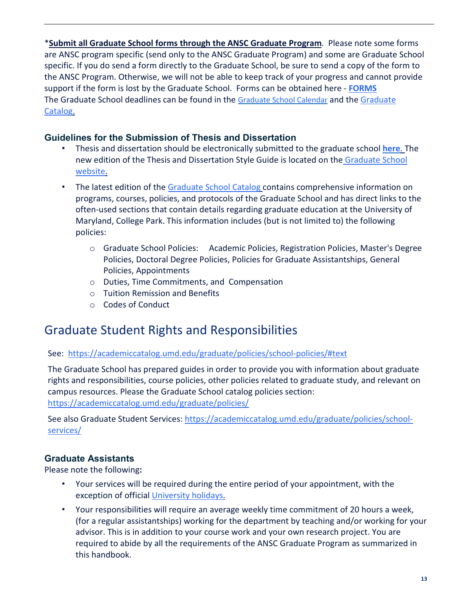\***Submit all Graduate School forms through the ANSC Graduate Program**. Please note some forms are ANSC program specific (send only to the ANSC Graduate Program) and some are Graduate School specific. If you do send a form directly to the Graduate School, be sure to send a copy of the form to the ANSC Program. Otherwise, we will not be able to keep track of your progress and cannot provide support if the form is lost by the Graduate School. Forms can be obtained here - **[FORMS](https://ansc.umd.edu/graduate/current-students%23forms)** The Graduate School deadlines can be found in the [Graduate School Calenda](https://gradschool.umd.edu/calendar/deadlines)r [a](https://gradschool.umd.edu/calendar/deadlines)nd the [Graduate](https://academiccatalog.umd.edu/graduate/policies/academic-record/) [Catalog.](https://academiccatalog.umd.edu/graduate/policies/academic-record/)

## <span id="page-12-0"></span>**Guidelines for the Submission of Thesis and Dissertation**

- Thesis and dissertation should be electronically submitted to the graduate school **[here](https://www.etdadmin.com/main/home?siteId=76)**[. T](https://www.etdadmin.com/main/home?siteId=76)he new edition of the Thesis and Dissertation Style Guide is located on the [Graduate School](https://gradschool.umd.edu/sites/gradschool.umd.edu/files/uploads/DissertationThesis/%20etd_style_guide_201708.pdf) [website.](https://gradschool.umd.edu/sites/gradschool.umd.edu/files/uploads/DissertationThesis/%20etd_style_guide_201708.pdf)
- The latest edition of th[e Graduate School Catalog](http://www.gradschool.umd.edu/catalog/) contains comprehensive information on programs, courses, policies, and protocols of the Graduate School and has direct links to the often-used sections that contain details regarding graduate education at the University of Maryland, College Park. This information includes (but is not limited to) the following policies:
	- o Graduate School Policies: Academic Policies, Registration Policies, Master's Degree Policies, Doctoral Degree Policies, Policies for Graduate Assistantships, General Policies, Appointments
	- o Duties, Time Commitments, and Compensation
	- o Tuition Remission and Benefits
	- o Codes of Conduct

## <span id="page-12-1"></span>Graduate Student Rights and Responsibilities

#### See: <https://academiccatalog.umd.edu/graduate/policies/school-policies/#text>

The Graduate School has prepared guides in order to provide you with information about graduate rights and responsibilities, course policies, other policies related to graduate study, and relevant on campus resources. Please the Graduate School catalog policies section: <https://academiccatalog.umd.edu/graduate/policies/>

See also Graduate Student Services[: https://academiccatalog.umd.edu/graduate/policies/school](https://academiccatalog.umd.edu/graduate/policies/school-services/)[services/](https://academiccatalog.umd.edu/graduate/policies/school-services/)

#### <span id="page-12-2"></span>**Graduate Assistants**

Please note the following**:**

- Your services will be required during the entire period of your appointment, with the exception of official [University holidays.](https://phr-app6.umd.edu/holidays)
- Your responsibilities will require an average weekly time commitment of 20 hours a week, (for a regular assistantships) working for the department by teaching and/or working for your advisor. This is in addition to your course work and your own research project. You are required to abide by all the requirements of the ANSC Graduate Program as summarized in this handbook.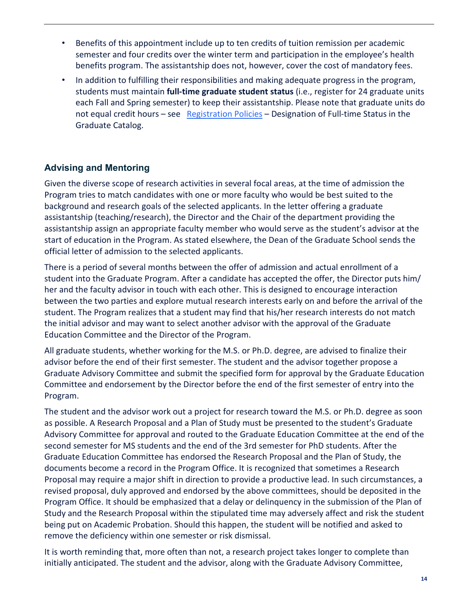- Benefits of this appointment include up to ten credits of tuition remission per academic semester and four credits over the winter term and participation in the employee's health benefits program. The assistantship does not, however, cover the cost of mandatory fees.
- In addition to fulfilling their responsibilities and making adequate progress in the program, students must maintain **full-time graduate student status** (i.e., register for 24 graduate units each Fall and Spring semester) to keep their assistantship. Please note that graduate units do not equal credit hours – see [Registration Policies](https://academiccatalog.umd.edu/graduate/policies/registration-policies/#text) – Designation of Full-time Status in the Graduate Catalog.

## <span id="page-13-0"></span>**Advising and Mentoring**

Given the diverse scope of research activities in several focal areas, at the time of admission the Program tries to match candidates with one or more faculty who would be best suited to the background and research goals of the selected applicants. In the letter offering a graduate assistantship (teaching/research), the Director and the Chair of the department providing the assistantship assign an appropriate faculty member who would serve as the student's advisor at the start of education in the Program. As stated elsewhere, the Dean of the Graduate School sends the official letter of admission to the selected applicants.

There is a period of several months between the offer of admission and actual enrollment of a student into the Graduate Program. After a candidate has accepted the offer, the Director puts him/ her and the faculty advisor in touch with each other. This is designed to encourage interaction between the two parties and explore mutual research interests early on and before the arrival of the student. The Program realizes that a student may find that his/her research interests do not match the initial advisor and may want to select another advisor with the approval of the Graduate Education Committee and the Director of the Program.

All graduate students, whether working for the M.S. or Ph.D. degree, are advised to finalize their advisor before the end of their first semester. The student and the advisor together propose a Graduate Advisory Committee and submit the specified form for approval by the Graduate Education Committee and endorsement by the Director before the end of the first semester of entry into the Program.

The student and the advisor work out a project for research toward the M.S. or Ph.D. degree as soon as possible. A Research Proposal and a Plan of Study must be presented to the student's Graduate Advisory Committee for approval and routed to the Graduate Education Committee at the end of the second semester for MS students and the end of the 3rd semester for PhD students. After the Graduate Education Committee has endorsed the Research Proposal and the Plan of Study, the documents become a record in the Program Office. It is recognized that sometimes a Research Proposal may require a major shift in direction to provide a productive lead. In such circumstances, a revised proposal, duly approved and endorsed by the above committees, should be deposited in the Program Office. It should be emphasized that a delay or delinquency in the submission of the Plan of Study and the Research Proposal within the stipulated time may adversely affect and risk the student being put on Academic Probation. Should this happen, the student will be notified and asked to remove the deficiency within one semester or risk dismissal.

It is worth reminding that, more often than not, a research project takes longer to complete than initially anticipated. The student and the advisor, along with the Graduate Advisory Committee,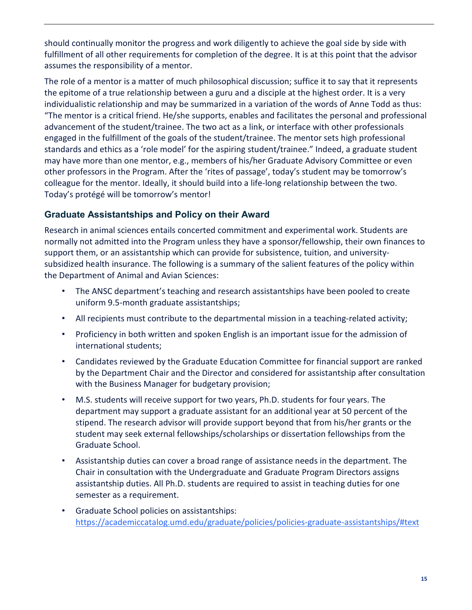should continually monitor the progress and work diligently to achieve the goal side by side with fulfillment of all other requirements for completion of the degree. It is at this point that the advisor assumes the responsibility of a mentor.

The role of a mentor is a matter of much philosophical discussion; suffice it to say that it represents the epitome of a true relationship between a guru and a disciple at the highest order. It is a very individualistic relationship and may be summarized in a variation of the words of Anne Todd as thus: "The mentor is a critical friend. He/she supports, enables and facilitates the personal and professional advancement of the student/trainee. The two act as a link, or interface with other professionals engaged in the fulfillment of the goals of the student/trainee. The mentor sets high professional standards and ethics as a 'role model' for the aspiring student/trainee." Indeed, a graduate student may have more than one mentor, e.g., members of his/her Graduate Advisory Committee or even other professors in the Program. After the 'rites of passage', today's student may be tomorrow's colleague for the mentor. Ideally, it should build into a life-long relationship between the two. Today's protégé will be tomorrow's mentor!

## <span id="page-14-0"></span>**Graduate Assistantships and Policy on their Award**

Research in animal sciences entails concerted commitment and experimental work. Students are normally not admitted into the Program unless they have a sponsor/fellowship, their own finances to support them, or an assistantship which can provide for subsistence, tuition, and universitysubsidized health insurance. The following is a summary of the salient features of the policy within the Department of Animal and Avian Sciences:

- The ANSC department's teaching and research assistantships have been pooled to create uniform 9.5-month graduate assistantships;
- All recipients must contribute to the departmental mission in a teaching-related activity;
- Proficiency in both written and spoken English is an important issue for the admission of international students;
- Candidates reviewed by the Graduate Education Committee for financial support are ranked by the Department Chair and the Director and considered for assistantship after consultation with the Business Manager for budgetary provision;
- M.S. students will receive support for two years, Ph.D. students for four years. The department may support a graduate assistant for an additional year at 50 percent of the stipend. The research advisor will provide support beyond that from his/her grants or the student may seek external fellowships/scholarships or dissertation fellowships from the Graduate School.
- Assistantship duties can cover a broad range of assistance needs in the department. The Chair in consultation with the Undergraduate and Graduate Program Directors assigns assistantship duties. All Ph.D. students are required to assist in teaching duties for one semester as a requirement.
- Graduate School policies on assistantships: <https://academiccatalog.umd.edu/graduate/policies/policies-graduate-assistantships/#text>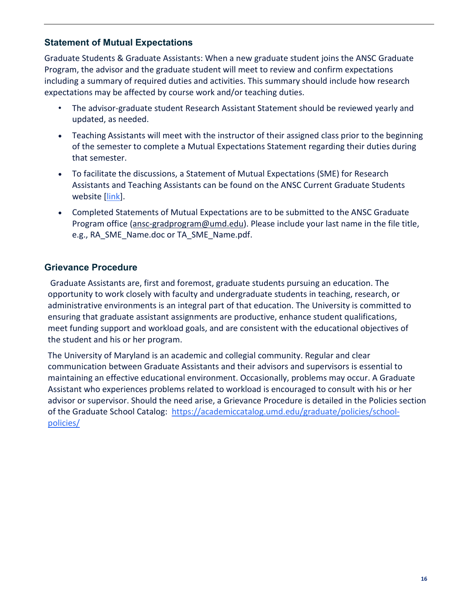## <span id="page-15-0"></span>**Statement of Mutual Expectations**

Graduate Students & Graduate Assistants: When a new graduate student joins the ANSC Graduate Program, the advisor and the graduate student will meet to review and confirm expectations including a summary of required duties and activities. This summary should include how research expectations may be affected by course work and/or teaching duties.

- The advisor-graduate student Research Assistant Statement should be reviewed yearly and updated, as needed.
- Teaching Assistants will meet with the instructor of their assigned class prior to the beginning of the semester to complete a Mutual Expectations Statement regarding their duties during that semester.
- To facilitate the discussions, a Statement of Mutual Expectations (SME) for Research Assistants and Teaching Assistants can be found on the ANSC Current Graduate Students website [\[link\]](https://ansc.umd.edu/graduate/current-students).
- Completed Statements of Mutual Expectations are to be submitted to the ANSC Graduate Program office [\(ansc-gradprogram@umd.edu\)](mailto:ansc-gradprogram@umd.edu). Please include your last name in the file title, e.g., RA\_SME\_Name.doc or TA\_SME\_Name.pdf.

### <span id="page-15-1"></span>**Grievance Procedure**

Graduate Assistants are, first and foremost, graduate students pursuing an education. The opportunity to work closely with faculty and undergraduate students in teaching, research, or administrative environments is an integral part of that education. The University is committed to ensuring that graduate assistant assignments are productive, enhance student qualifications, meet funding support and workload goals, and are consistent with the educational objectives of the student and his or her program.

The University of Maryland is an academic and collegial community. Regular and clear communication between Graduate Assistants and their advisors and supervisors is essential to maintaining an effective educational environment. Occasionally, problems may occur. A Graduate Assistant who experiences problems related to workload is encouraged to consult with his or her advisor or supervisor. Should the need arise, a Grievance Procedure is detailed in the Policies section of the Graduate School Catalog: [https://academiccatalog.umd.edu/graduate/policies/school](https://academiccatalog.umd.edu/graduate/policies/school-policies/)[policies/](https://academiccatalog.umd.edu/graduate/policies/school-policies/)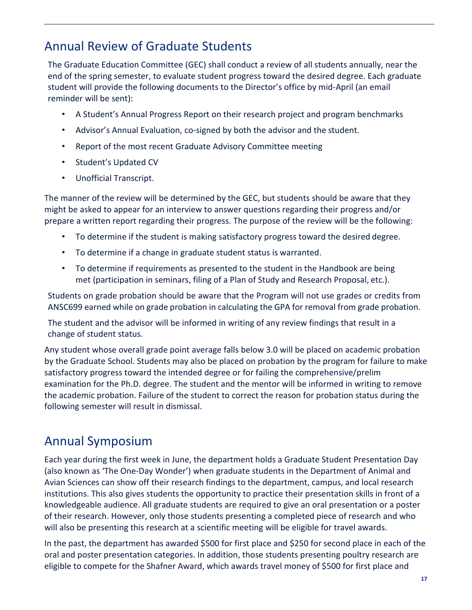## <span id="page-16-0"></span>Annual Review of Graduate Students

The Graduate Education Committee (GEC) shall conduct a review of all students annually, near the end of the spring semester, to evaluate student progress toward the desired degree. Each graduate student will provide the following documents to the Director's office by mid-April (an email reminder will be sent):

- A Student's Annual Progress Report on their research project and program benchmarks
- Advisor's Annual Evaluation, co-signed by both the advisor and the student.
- Report of the most recent Graduate Advisory Committee meeting
- Student's Updated CV
- Unofficial Transcript.

The manner of the review will be determined by the GEC, but students should be aware that they might be asked to appear for an interview to answer questions regarding their progress and/or prepare a written report regarding their progress. The purpose of the review will be the following:

- To determine if the student is making satisfactory progress toward the desired degree.
- To determine if a change in graduate student status is warranted.
- To determine if requirements as presented to the student in the Handbook are being met (participation in seminars, filing of a Plan of Study and Research Proposal, etc.).

Students on grade probation should be aware that the Program will not use grades or credits from ANSC699 earned while on grade probation in calculating the GPA for removal from grade probation.

The student and the advisor will be informed in writing of any review findings that result in a change of student status.

Any student whose overall grade point average falls below 3.0 will be placed on academic probation by the Graduate School. Students may also be placed on probation by the program for failure to make satisfactory progress toward the intended degree or for failing the comprehensive/prelim examination for the Ph.D. degree. The student and the mentor will be informed in writing to remove the academic probation. Failure of the student to correct the reason for probation status during the following semester will result in dismissal.

## <span id="page-16-1"></span>Annual Symposium

Each year during the first week in June, the department holds a Graduate Student Presentation Day (also known as 'The One-Day Wonder') when graduate students in the Department of Animal and Avian Sciences can show off their research findings to the department, campus, and local research institutions. This also gives students the opportunity to practice their presentation skills in front of a knowledgeable audience. All graduate students are required to give an oral presentation or a poster of their research. However, only those students presenting a completed piece of research and who will also be presenting this research at a scientific meeting will be eligible for travel awards.

In the past, the department has awarded \$500 for first place and \$250 for second place in each of the oral and poster presentation categories. In addition, those students presenting poultry research are eligible to compete for the Shafner Award, which awards travel money of \$500 for first place and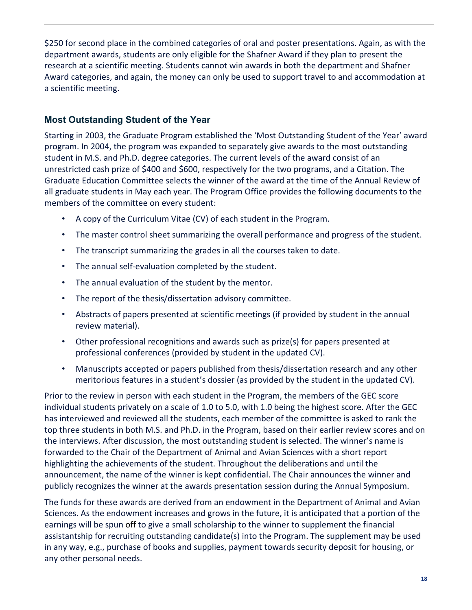\$250 for second place in the combined categories of oral and poster presentations. Again, as with the department awards, students are only eligible for the Shafner Award if they plan to present the research at a scientific meeting. Students cannot win awards in both the department and Shafner Award categories, and again, the money can only be used to support travel to and accommodation at a scientific meeting.

## <span id="page-17-0"></span>**Most Outstanding Student of the Year**

Starting in 2003, the Graduate Program established the 'Most Outstanding Student of the Year' award program. In 2004, the program was expanded to separately give awards to the most outstanding student in M.S. and Ph.D. degree categories. The current levels of the award consist of an unrestricted cash prize of \$400 and \$600, respectively for the two programs, and a Citation. The Graduate Education Committee selects the winner of the award at the time of the Annual Review of all graduate students in May each year. The Program Office provides the following documents to the members of the committee on every student:

- A copy of the Curriculum Vitae (CV) of each student in the Program.
- The master control sheet summarizing the overall performance and progress of the student.
- The transcript summarizing the grades in all the courses taken to date.
- The annual self-evaluation completed by the student.
- The annual evaluation of the student by the mentor.
- The report of the thesis/dissertation advisory committee.
- Abstracts of papers presented at scientific meetings (if provided by student in the annual review material).
- Other professional recognitions and awards such as prize(s) for papers presented at professional conferences (provided by student in the updated CV).
- Manuscripts accepted or papers published from thesis/dissertation research and any other meritorious features in a student's dossier (as provided by the student in the updated CV).

Prior to the review in person with each student in the Program, the members of the GEC score individual students privately on a scale of 1.0 to 5.0, with 1.0 being the highest score. After the GEC has interviewed and reviewed all the students, each member of the committee is asked to rank the top three students in both M.S. and Ph.D. in the Program, based on their earlier review scores and on the interviews. After discussion, the most outstanding student is selected. The winner's name is forwarded to the Chair of the Department of Animal and Avian Sciences with a short report highlighting the achievements of the student. Throughout the deliberations and until the announcement, the name of the winner is kept confidential. The Chair announces the winner and publicly recognizes the winner at the awards presentation session during the Annual Symposium.

The funds for these awards are derived from an endowment in the Department of Animal and Avian Sciences. As the endowment increases and grows in the future, it is anticipated that a portion of the earnings will be spun off to give a small scholarship to the winner to supplement the financial assistantship for recruiting outstanding candidate(s) into the Program. The supplement may be used in any way, e.g., purchase of books and supplies, payment towards security deposit for housing, or any other personal needs.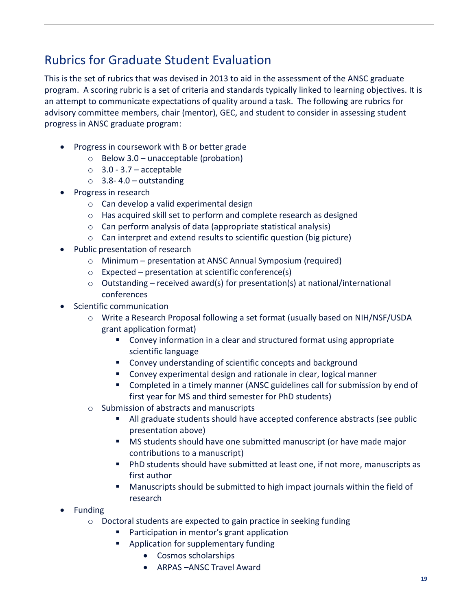## <span id="page-18-0"></span>Rubrics for Graduate Student Evaluation

This is the set of rubrics that was devised in 2013 to aid in the assessment of the ANSC graduate program. A scoring rubric is a set of criteria and standards typically linked to learning objectives. It is an attempt to communicate expectations of quality around a task. The following are rubrics for advisory committee members, chair (mentor), GEC, and student to consider in assessing student progress in ANSC graduate program:

- Progress in coursework with B or better grade
	- $\circ$  Below 3.0 unacceptable (probation)
	- $\circ$  3.0 3.7 acceptable
	- $\circ$  3.8-4.0 outstanding
- Progress in research
	- o Can develop a valid experimental design
	- o Has acquired skill set to perform and complete research as designed
	- o Can perform analysis of data (appropriate statistical analysis)
	- o Can interpret and extend results to scientific question (big picture)
- Public presentation of research
	- o Minimum presentation at ANSC Annual Symposium (required)
	- o Expected presentation at scientific conference(s)
	- $\circ$  Outstanding received award(s) for presentation(s) at national/international conferences
- Scientific communication
	- o Write a Research Proposal following a set format (usually based on NIH/NSF/USDA grant application format)
		- Convey information in a clear and structured format using appropriate scientific language
		- Convey understanding of scientific concepts and background
		- Convey experimental design and rationale in clear, logical manner
		- **EXP** Completed in a timely manner (ANSC guidelines call for submission by end of first year for MS and third semester for PhD students)
	- o Submission of abstracts and manuscripts
		- All graduate students should have accepted conference abstracts (see public presentation above)
		- MS students should have one submitted manuscript (or have made major contributions to a manuscript)
		- PhD students should have submitted at least one, if not more, manuscripts as first author
		- **Manuscripts should be submitted to high impact journals within the field of** research
- Funding
	- o Doctoral students are expected to gain practice in seeking funding
		- Participation in mentor's grant application
		- Application for supplementary funding
			- Cosmos scholarships
			- ARPAS –ANSC Travel Award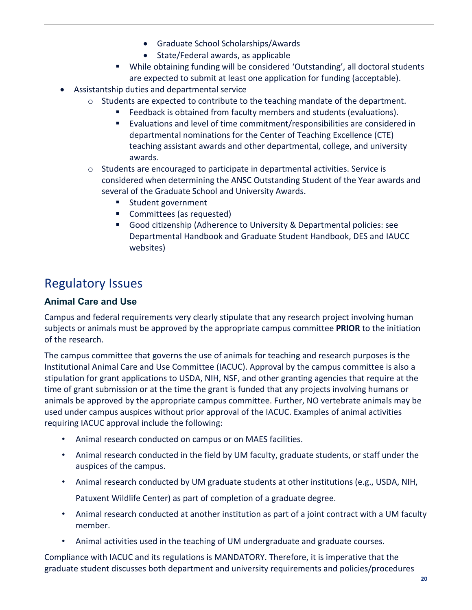- Graduate School Scholarships/Awards
- State/Federal awards, as applicable
- While obtaining funding will be considered 'Outstanding', all doctoral students are expected to submit at least one application for funding (acceptable).
- Assistantship duties and departmental service
	- o Students are expected to contribute to the teaching mandate of the department.
		- Feedback is obtained from faculty members and students (evaluations).
		- Evaluations and level of time commitment/responsibilities are considered in departmental nominations for the Center of Teaching Excellence (CTE) teaching assistant awards and other departmental, college, and university awards.
	- o Students are encouraged to participate in departmental activities. Service is considered when determining the ANSC Outstanding Student of the Year awards and several of the Graduate School and University Awards.
		- Student government
		- **Committees (as requested)**
		- Good citizenship (Adherence to University & Departmental policies: see Departmental Handbook and Graduate Student Handbook, DES and IAUCC websites)

## <span id="page-19-0"></span>Regulatory Issues

## <span id="page-19-1"></span>**Animal Care and Use**

Campus and federal requirements very clearly stipulate that any research project involving human subjects or animals must be approved by the appropriate campus committee **PRIOR** to the initiation of the research.

The campus committee that governs the use of animals for teaching and research purposes is the Institutional Animal Care and Use Committee (IACUC). Approval by the campus committee is also a stipulation for grant applications to USDA, NIH, NSF, and other granting agencies that require at the time of grant submission or at the time the grant is funded that any projects involving humans or animals be approved by the appropriate campus committee. Further, NO vertebrate animals may be used under campus auspices without prior approval of the IACUC. Examples of animal activities requiring IACUC approval include the following:

- Animal research conducted on campus or on MAES facilities.
- Animal research conducted in the field by UM faculty, graduate students, or staff under the auspices of the campus.
- Animal research conducted by UM graduate students at other institutions (e.g., USDA, NIH, Patuxent Wildlife Center) as part of completion of a graduate degree.
- Animal research conducted at another institution as part of a joint contract with a UM faculty member.
- Animal activities used in the teaching of UM undergraduate and graduate courses.

Compliance with IACUC and its regulations is MANDATORY. Therefore, it is imperative that the graduate student discusses both department and university requirements and policies/procedures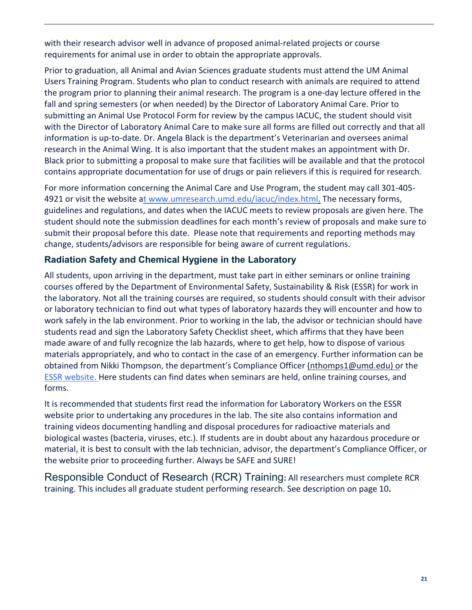with their research advisor well in advance of proposed animal-related projects or course requirements for animal use in order to obtain the appropriate approvals.

Prior to graduation, all Animal and Avian Sciences graduate students must attend the UM Animal Users Training Program. Students who plan to conduct research with animals are required to attend the program prior to planning their animal research. The program is a one-day lecture offered in the fall and spring semesters (or when needed) by the Director of Laboratory Animal Care. Prior to submitting an Animal Use Protocol Form for review by the campus IACUC, the student should visit with the Director of Laboratory Animal Care to make sure all forms are filled out correctly and that all information is up-to-date. Dr. Angela Black is the department's Veterinarian and oversees animal research in the Animal Wing. It is also important that the student makes an appointment with Dr. Black prior to submitting a proposal to make sure that facilities will be available and that the protocol contains appropriate documentation for use of drugs or pain relievers if this is required for research.

For more information concerning the Animal Care and Use Program, the student may call 301-405 4921 or visit the website [at www.umresearch.umd.edu/iacuc/index.html.](http://www.umresearch.umd.edu/iacuc/index.html) The necessary forms, guidelines and regulations, and dates when the IACUC meets to review proposals are given here. The student should note the submission deadlines for each month's review of proposals and make sure to submit their proposal before this date. Please note that requirements and reporting methods may change, students/advisors are responsible for being aware of current regulations.

## <span id="page-20-0"></span>**Radiation Safety and Chemical Hygiene in the Laboratory**

All students, upon arriving in the department, must take part in either seminars or online training courses offered by the Department of Environmental Safety, Sustainability & Risk (ESSR) for work in the laboratory. Not all the training courses are required, so students should consult with their advisor or laboratory technician to find out what types of laboratory hazards they will encounter and how to work safely in the lab environment. Prior to working in the lab, the advisor or technician should have students read and sign the Laboratory Safety Checklist sheet, which affirms that they have been made aware of and fully recognize the lab hazards, where to get help, how to dispose of various materials appropriately, and who to contact in the case of an emergency. Further information can be obtained from Nikki Thompson, the department's Compliance Officer [\(nthomps1@umd.edu\) or](http://www.inform.umd.edu/des) the [ESSR website. H](https://essr.umd.edu/)ere students can find dates when seminars are held, online training courses, and forms.

It is recommended that students first read the information for Laboratory Workers on the ESSR website prior to undertaking any procedures in the lab. The site also contains information and training videos documenting handling and disposal procedures for radioactive materials and biological wastes (bacteria, viruses, etc.). If students are in doubt about any hazardous procedure or material, it is best to consult with the lab technician, advisor, the department's Compliance Officer, or the website prior to proceeding further. Always be SAFE and SURE!

<span id="page-20-1"></span>Responsible Conduct of Research (RCR) Training**:** All researchers must complete RCR training. This includes all graduate student performing research. See description on page 10**.**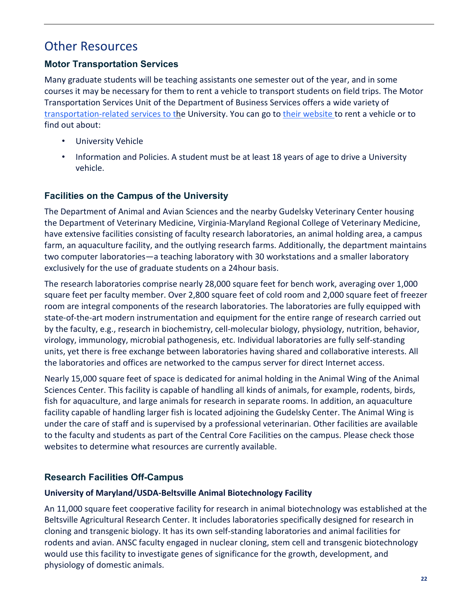## <span id="page-21-0"></span>Other Resources

## <span id="page-21-1"></span>**Motor Transportation Services**

Many graduate students will be teaching assistants one semester out of the year, and in some courses it may be necessary for them to rent a vehicle to transport students on field trips. The Motor Transportation Services Unit of the Department of Business Services offers a wide variety [of](http://www.dbs.umd.edu/motor/index.php) [transportation-related services to the](http://www.dbs.umd.edu/motor/index.php) University. You can go to [their website t](http://www.dbs.umd.edu/motor/index.php)o rent a vehicle or to find out about:

- University Vehicle
- Information and Policies. A student must be at least 18 years of age to drive a University vehicle.

## <span id="page-21-2"></span>**Facilities on the Campus of the University**

The Department of Animal and Avian Sciences and the nearby Gudelsky Veterinary Center housing the Department of Veterinary Medicine, Virginia-Maryland Regional College of Veterinary Medicine, have extensive facilities consisting of faculty research laboratories, an animal holding area, a campus farm, an aquaculture facility, and the outlying research farms. Additionally, the department maintains two computer laboratories—a teaching laboratory with 30 workstations and a smaller laboratory exclusively for the use of graduate students on a 24hour basis.

The research laboratories comprise nearly 28,000 square feet for bench work, averaging over 1,000 square feet per faculty member. Over 2,800 square feet of cold room and 2,000 square feet of freezer room are integral components of the research laboratories. The laboratories are fully equipped with state-of-the-art modern instrumentation and equipment for the entire range of research carried out by the faculty, e.g., research in biochemistry, cell-molecular biology, physiology, nutrition, behavior, virology, immunology, microbial pathogenesis, etc. Individual laboratories are fully self-standing units, yet there is free exchange between laboratories having shared and collaborative interests. All the laboratories and offices are networked to the campus server for direct Internet access.

Nearly 15,000 square feet of space is dedicated for animal holding in the Animal Wing of the Animal Sciences Center. This facility is capable of handling all kinds of animals, for example, rodents, birds, fish for aquaculture, and large animals for research in separate rooms. In addition, an aquaculture facility capable of handling larger fish is located adjoining the Gudelsky Center. The Animal Wing is under the care of staff and is supervised by a professional veterinarian. Other facilities are available to the faculty and students as part of the Central Core Facilities on the campus. Please check those websites to determine what resources are currently available.

## <span id="page-21-3"></span>**Research Facilities Off-Campus**

#### **University of Maryland/USDA-Beltsville Animal Biotechnology Facility**

An 11,000 square feet cooperative facility for research in animal biotechnology was established at the Beltsville Agricultural Research Center. It includes laboratories specifically designed for research in cloning and transgenic biology. It has its own self-standing laboratories and animal facilities for rodents and avian. ANSC faculty engaged in nuclear cloning, stem cell and transgenic biotechnology would use this facility to investigate genes of significance for the growth, development, and physiology of domestic animals.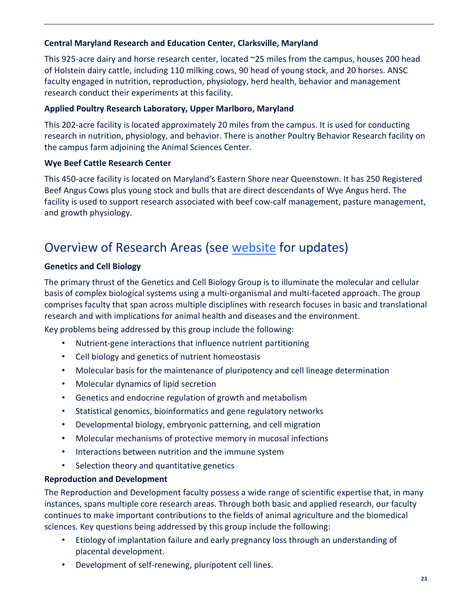#### **Central Maryland Research and Education Center, Clarksville, Maryland**

This 925-acre dairy and horse research center, located ~25 miles from the campus, houses 200 head of Holstein dairy cattle, including 110 milking cows, 90 head of young stock, and 20 horses. ANSC faculty engaged in nutrition, reproduction, physiology, herd health, behavior and management research conduct their experiments at this facility.

#### **Applied Poultry Research Laboratory, Upper Marlboro, Maryland**

This 202-acre facility is located approximately 20 miles from the campus. It is used for conducting research in nutrition, physiology, and behavior. There is another Poultry Behavior Research facility on the campus farm adjoining the Animal Sciences Center.

### **Wye Beef Cattle Research Center**

This 450-acre facility is located on Maryland's Eastern Shore near Queenstown. It has 250 Registered Beef Angus Cows plus young stock and bulls that are direct descendants of Wye Angus herd. The facility is used to support research associated with beef cow-calf management, pasture management, and growth physiology.

## <span id="page-22-0"></span>Overview of Research Areas (see [website](https://ansc.umd.edu/research) for updates)

### **Genetics and Cell Biology**

The primary thrust of the Genetics and Cell Biology Group is to illuminate the molecular and cellular basis of complex biological systems using a multi-organismal and multi-faceted approach. The group comprises faculty that span across multiple disciplines with research focuses in basic and translational research and with implications for animal health and diseases and the environment.

Key problems being addressed by this group include the following:

- Nutrient-gene interactions that influence nutrient partitioning
- Cell biology and genetics of nutrient homeostasis
- Molecular basis for the maintenance of pluripotency and cell lineage determination
- Molecular dynamics of lipid secretion
- Genetics and endocrine regulation of growth and metabolism
- Statistical genomics, bioinformatics and gene regulatory networks
- Developmental biology, embryonic patterning, and cell migration
- Molecular mechanisms of protective memory in mucosal infections
- Interactions between nutrition and the immune system
- Selection theory and quantitative genetics

#### **Reproduction and Development**

The Reproduction and Development faculty possess a wide range of scientific expertise that, in many instances, spans multiple core research areas. Through both basic and applied research, our faculty continues to make important contributions to the fields of animal agriculture and the biomedical sciences. Key questions being addressed by this group include the following:

- Etiology of implantation failure and early pregnancy loss through an understanding of placental development.
- Development of self-renewing, pluripotent cell lines.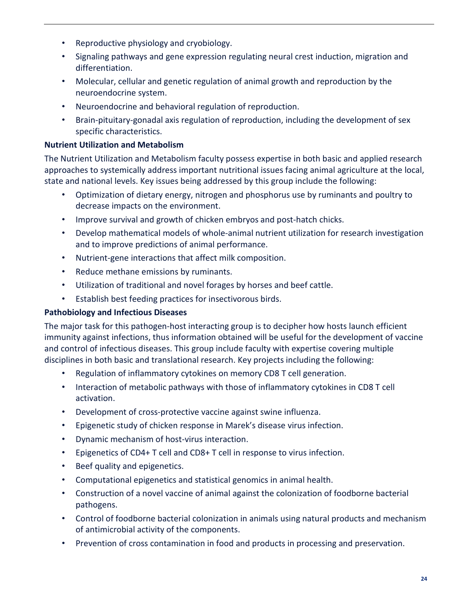- Reproductive physiology and cryobiology.
- Signaling pathways and gene expression regulating neural crest induction, migration and differentiation.
- Molecular, cellular and genetic regulation of animal growth and reproduction by the neuroendocrine system.
- Neuroendocrine and behavioral regulation of reproduction.
- Brain-pituitary-gonadal axis regulation of reproduction, including the development of sex specific characteristics.

#### **Nutrient Utilization and Metabolism**

The Nutrient Utilization and Metabolism faculty possess expertise in both basic and applied research approaches to systemically address important nutritional issues facing animal agriculture at the local, state and national levels. Key issues being addressed by this group include the following:

- Optimization of dietary energy, nitrogen and phosphorus use by ruminants and poultry to decrease impacts on the environment.
- Improve survival and growth of chicken embryos and post-hatch chicks.
- Develop mathematical models of whole-animal nutrient utilization for research investigation and to improve predictions of animal performance.
- Nutrient-gene interactions that affect milk composition.
- Reduce methane emissions by ruminants.
- Utilization of traditional and novel forages by horses and beef cattle.
- Establish best feeding practices for insectivorous birds.

## **Pathobiology and Infectious Diseases**

The major task for this pathogen-host interacting group is to decipher how hosts launch efficient immunity against infections, thus information obtained will be useful for the development of vaccine and control of infectious diseases. This group include faculty with expertise covering multiple disciplines in both basic and translational research. Key projects including the following:

- Regulation of inflammatory cytokines on memory CD8 T cell generation.
- Interaction of metabolic pathways with those of inflammatory cytokines in CD8 T cell activation.
- Development of cross-protective vaccine against swine influenza.
- Epigenetic study of chicken response in Marek's disease virus infection.
- Dynamic mechanism of host-virus interaction.
- Epigenetics of CD4+ T cell and CD8+ T cell in response to virus infection.
- Beef quality and epigenetics.
- Computational epigenetics and statistical genomics in animal health.
- Construction of a novel vaccine of animal against the colonization of foodborne bacterial pathogens.
- Control of foodborne bacterial colonization in animals using natural products and mechanism of antimicrobial activity of the components.
- Prevention of cross contamination in food and products in processing and preservation.